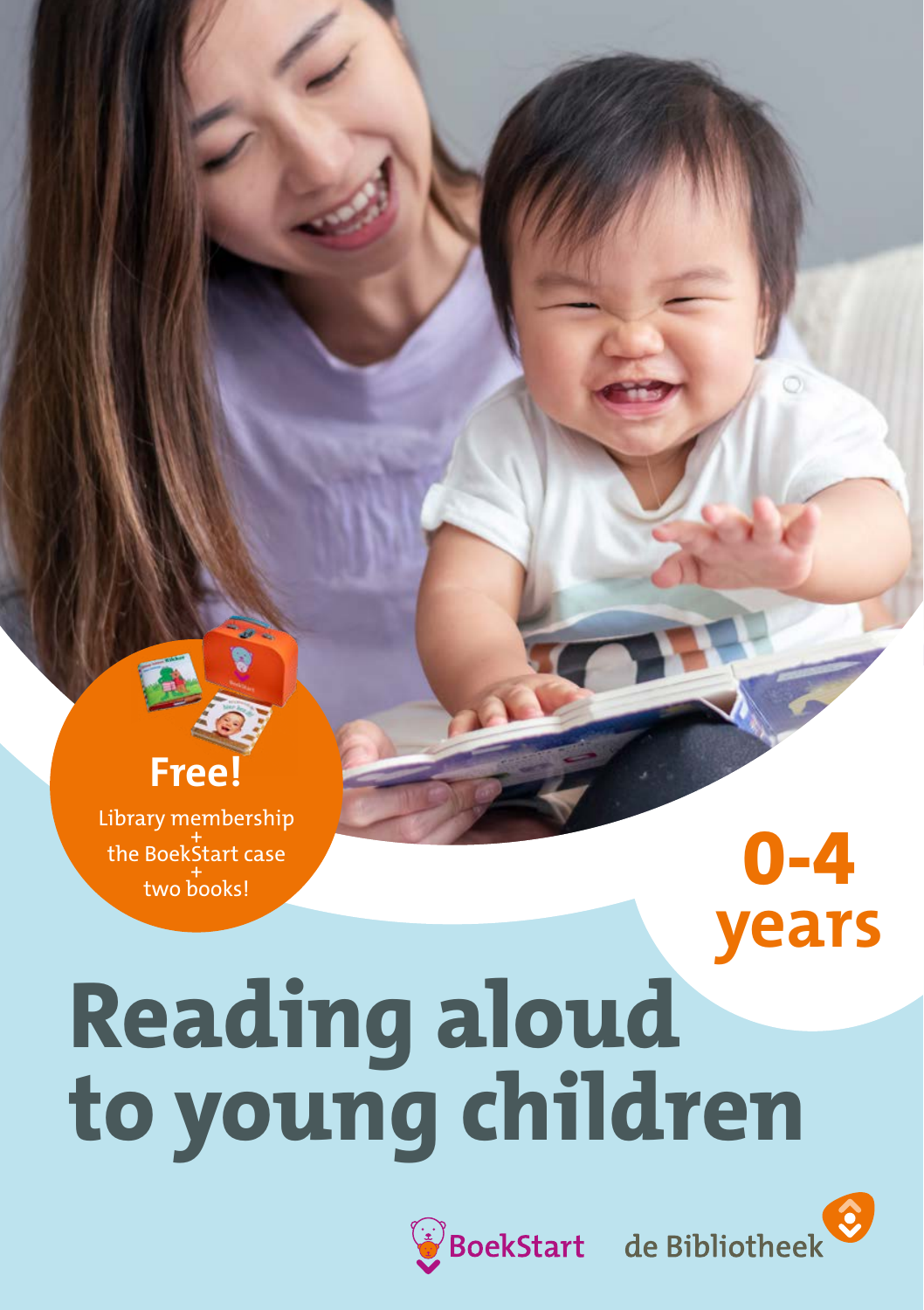

Library membership  $\frac{1}{2}$ the BoekStart case two books!

# **Reading aloud to young children years**







**0-4**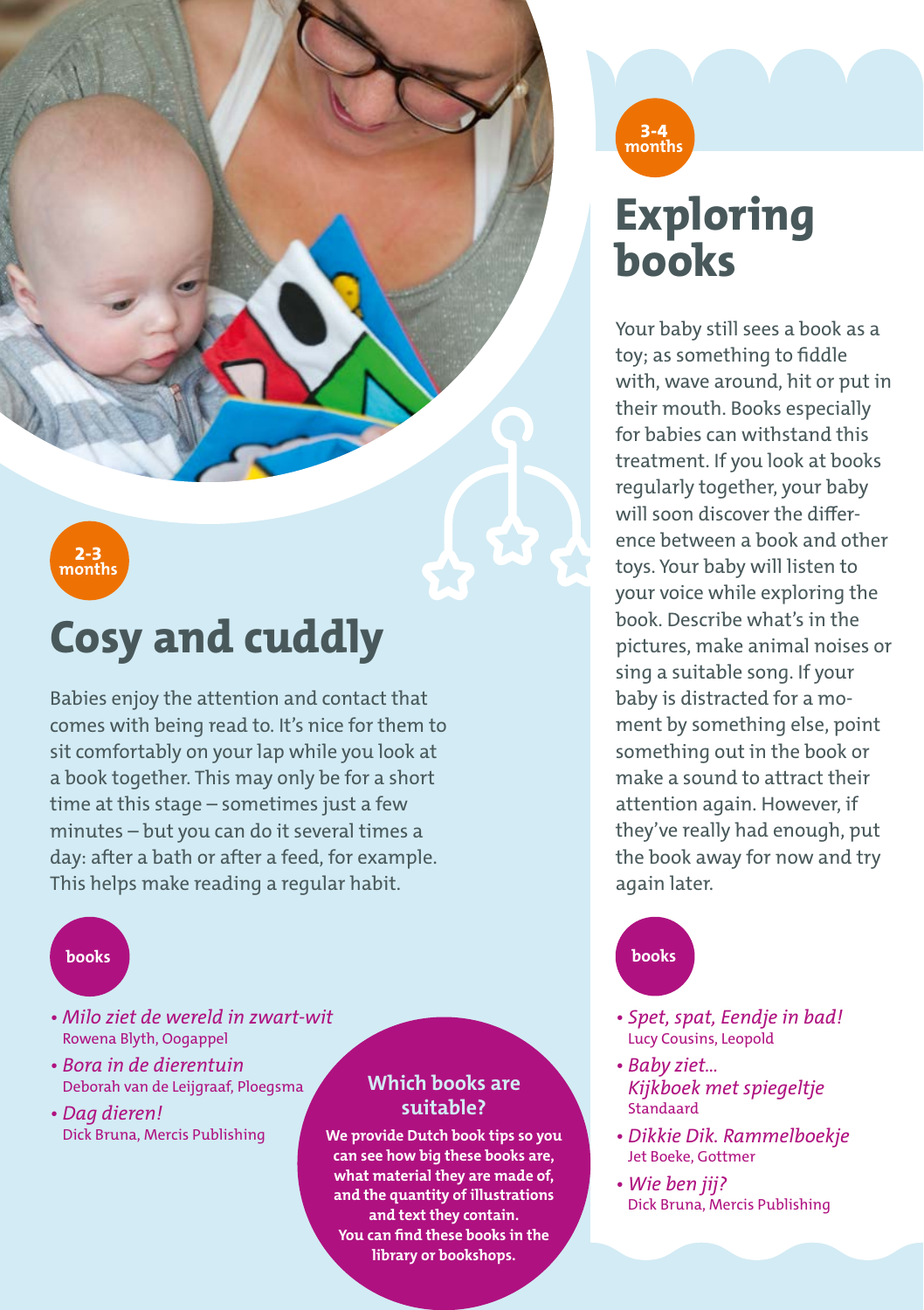#### **2-3 months**

### **Cosy and cuddly**

Babies enjoy the attention and contact that comes with being read to. It's nice for them to sit comfortably on your lap while you look at a book together. This may only be for a short time at this stage – sometimes just a few minutes – but you can do it several times a day: after a bath or after a feed, for example. This helps make reading a regular habit.

- *Milo ziet de wereld in zwart-wit*  Rowena Blyth, Oogappel
- *Bora in de dierentuin*  Deborah van de Leijgraaf, Ploegsma
- *Dag dieren!* Dick Bruna, Mercis Publishing

#### **Which books are suitable?**

**We provide Dutch book tips so you can see how big these books are, what material they are made of, and the quantity of illustrations and text they contain. You can find these books in the library or bookshops.**

#### **3-4 months**

#### **Exploring books**

Your baby still sees a book as a toy; as something to fiddle with, wave around, hit or put in their mouth. Books especially for babies can withstand this treatment. If you look at books regularly together, your baby will soon discover the difference between a book and other toys. Your baby will listen to your voice while exploring the book. Describe what's in the pictures, make animal noises or sing a suitable song. If your baby is distracted for a moment by something else, point something out in the book or make a sound to attract their attention again. However, if they've really had enough, put the book away for now and try again later.

# **books books**

- *Spet, spat, Eendje in bad!*  Lucy Cousins, Leopold
- *Baby ziet... Kijkboek met spiegeltje*  Standaard
- *Dikkie Dik. Rammelboekje*  Jet Boeke, Gottmer
- *Wie ben jij?*  Dick Bruna, Mercis Publishing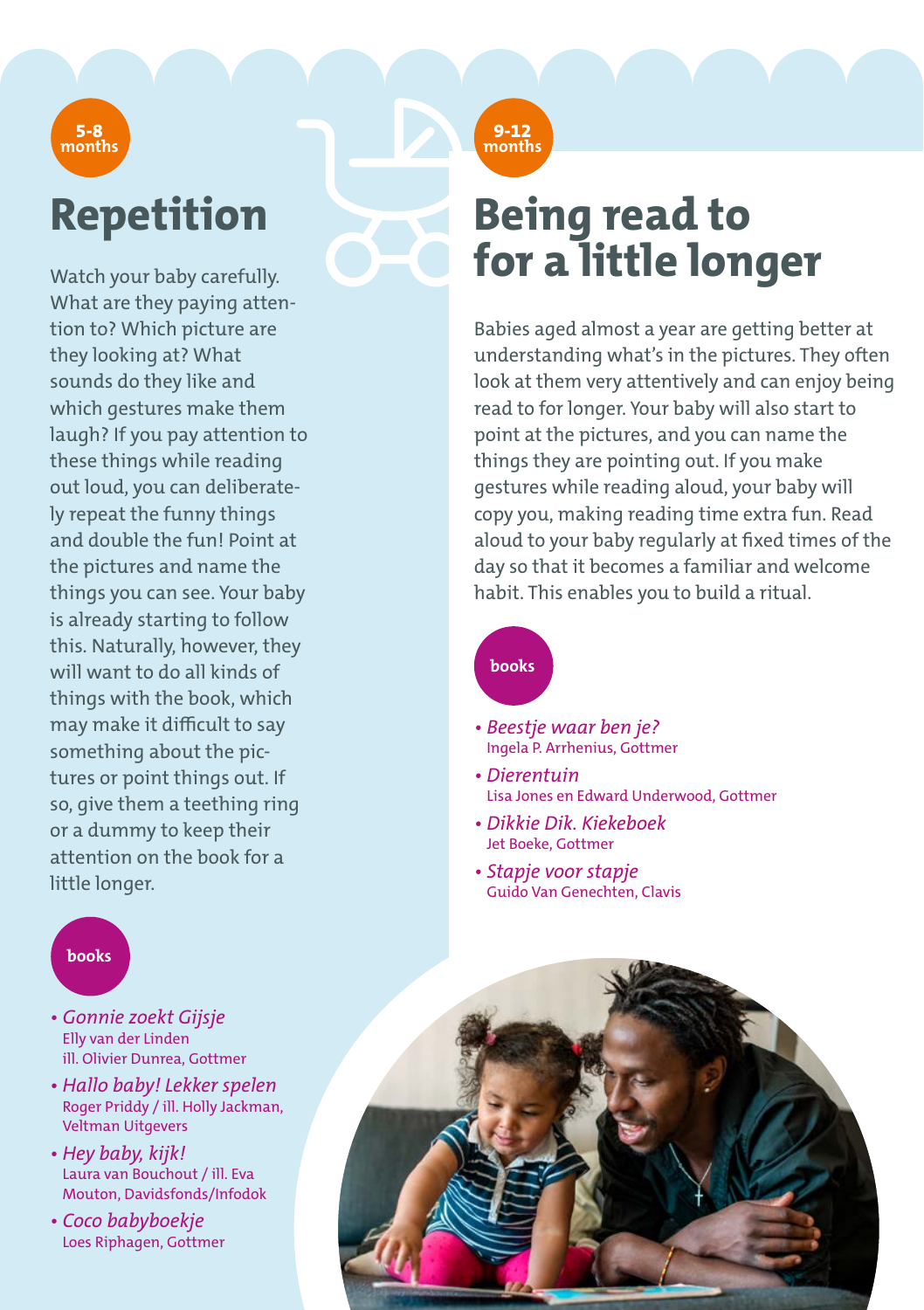

### **Repetition**

Watch your baby carefully. What are they paying attention to? Which picture are they looking at? What sounds do they like and which gestures make them laugh? If you pay attention to these things while reading out loud, you can deliberately repeat the funny things and double the fun! Point at the pictures and name the things you can see. Your baby is already starting to follow this. Naturally, however, they will want to do all kinds of things with the book, which may make it difficult to say something about the pictures or point things out. If so, give them a teething ring or a dummy to keep their attention on the book for a little longer.

**9-12 months**

#### **Being read to for a little longer**

Babies aged almost a year are getting better at understanding what's in the pictures. They often look at them very attentively and can enjoy being read to for longer. Your baby will also start to point at the pictures, and you can name the things they are pointing out. If you make gestures while reading aloud, your baby will copy you, making reading time extra fun. Read aloud to your baby regularly at fixed times of the day so that it becomes a familiar and welcome habit. This enables you to build a ritual.



- *Beestje waar ben je?*  Ingela P. Arrhenius, Gottmer
- *Dierentuin*  Lisa Jones en Edward Underwood, Gottmer
- *Dikkie Dik. Kiekeboek*  Jet Boeke, Gottmer
- *Stapje voor stapje* Guido Van Genechten, Clavis





- *Gonnie zoekt Gijsje* Elly van der Linden ill. Olivier Dunrea, Gottmer
- *Hallo baby! Lekker spelen*  Roger Priddy / ill. Holly Jackman, Veltman Uitgevers
- *Hey baby, kijk!* Laura van Bouchout / ill. Eva Mouton, Davidsfonds/Infodok
- *Coco babyboekje* Loes Riphagen, Gottmer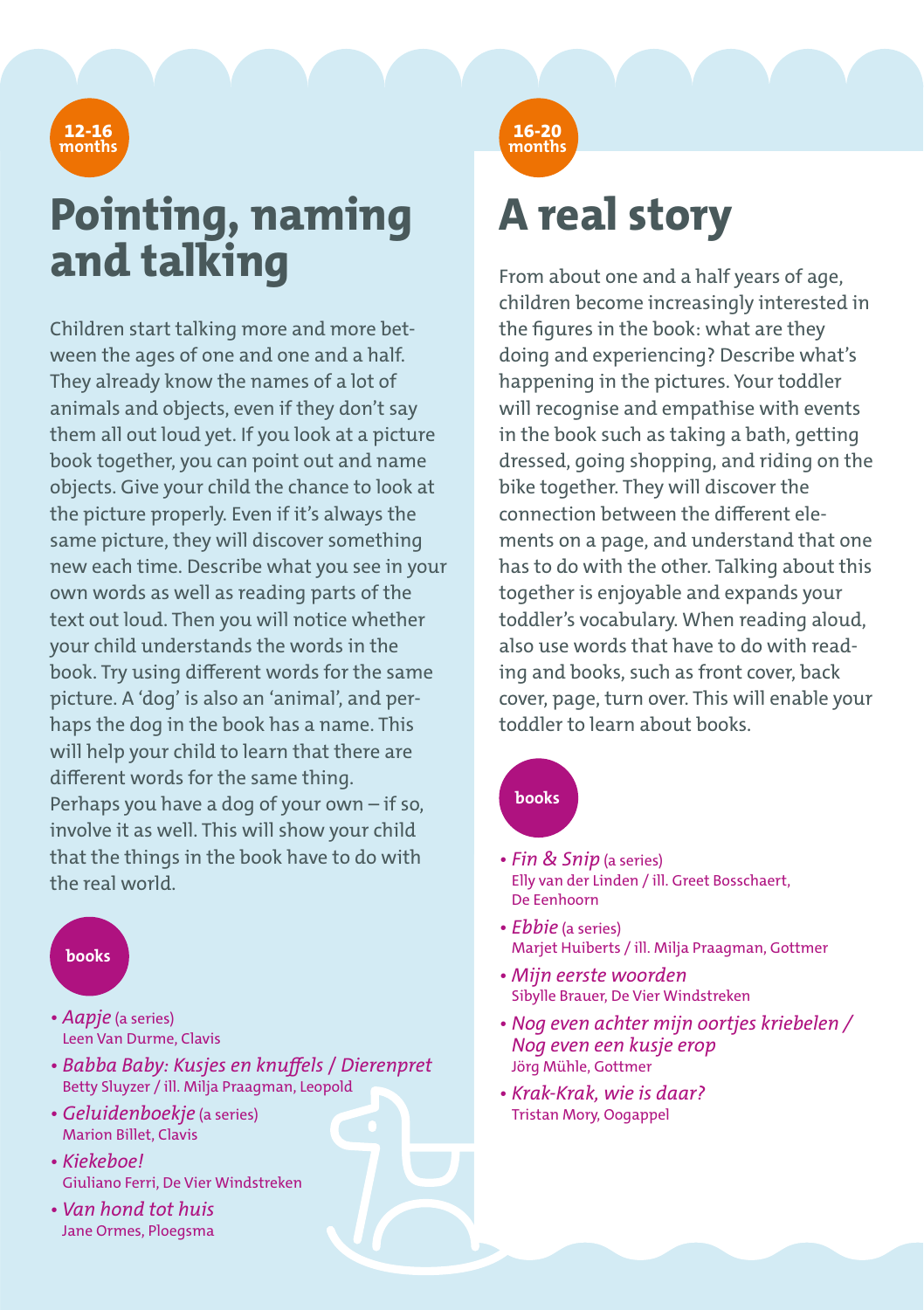

#### **Pointing, naming and talking**

Children start talking more and more between the ages of one and one and a half. They already know the names of a lot of animals and objects, even if they don't say them all out loud yet. If you look at a picture book together, you can point out and name objects. Give your child the chance to look at the picture properly. Even if it's always the same picture, they will discover something new each time. Describe what you see in your own words as well as reading parts of the text out loud. Then you will notice whether your child understands the words in the book. Try using different words for the same picture. A 'dog' is also an 'animal', and perhaps the dog in the book has a name. This will help your child to learn that there are different words for the same thing. Perhaps you have a dog of your own – if so, involve it as well. This will show your child that the things in the book have to do with the real world.



- *Aapje* (a series) Leen Van Durme, Clavis
- *Babba Baby: Kusjes en knuffels* / *Dierenpret*  Betty Sluyzer / ill. Milja Praagman, Leopold
- *Geluidenboekje* (a series) Marion Billet, Clavis
- *Kiekeboe!* Giuliano Ferri, De Vier Windstreken
- *Van hond tot huis* Jane Ormes, Ploegsma



### **A real story**

From about one and a half years of age, children become increasingly interested in the figures in the book: what are they doing and experiencing? Describe what's happening in the pictures. Your toddler will recognise and empathise with events in the book such as taking a bath, getting dressed, going shopping, and riding on the bike together. They will discover the connection between the different elements on a page, and understand that one has to do with the other. Talking about this together is enjoyable and expands your toddler's vocabulary. When reading aloud, also use words that have to do with reading and books, such as front cover, back cover, page, turn over. This will enable your toddler to learn about books.

# **books**

- *Fin & Snip* (a series) Elly van der Linden / ill. Greet Bosschaert, De Eenhoorn
- *Ebbie* (a series) Marjet Huiberts / ill. Milja Praagman, Gottmer
- *Mijn eerste woorden* Sibylle Brauer, De Vier Windstreken
- *Nog even achter mijn oortjes kriebelen / Nog even een kusje erop*  Jörg Mühle, Gottmer
- *Krak-Krak, wie is daar?* Tristan Mory, Oogappel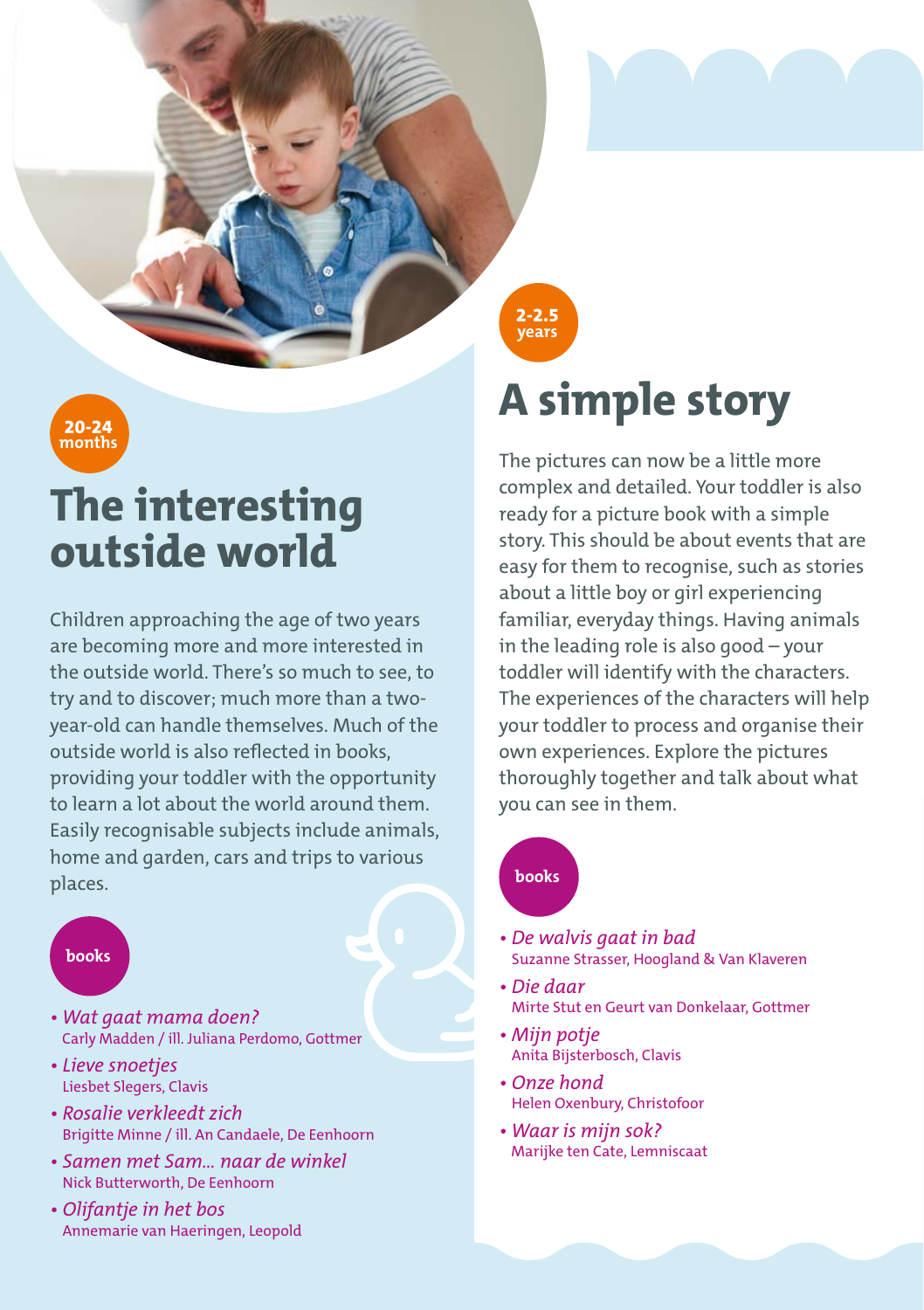

#### **The interesting outside world**

Children approaching the age of two years are becoming more and more interested in the outside world. There's so much to see, to try and to discover; much more than a twoyear-old can handle themselves. Much of the outside world is also reflected in books, providing your toddler with the opportunity to learn a lot about the world around them. Easily recognisable subjects include animals, home and garden, cars and trips to various places.

#### **books**

- *Wat gaat mama doen?* Carly Madden / ill. Juliana Perdomo, Gottmer
- *Lieve snoetjes* Liesbet Slegers, Clavis
- *Rosalie verkleedt zich* Brigitte Minne / ill. An Candaele, De Eenhoorn
- *Samen met Sam… naar de winkel*  Nick Butterworth, De Eenhoorn
- *Olifantje in het bos* Annemarie van Haeringen, Leopold

# **A simple story**

The pictures can now be a little more complex and detailed. Your toddler is also ready for a picture book with a simple story. This should be about events that are easy for them to recognise, such as stories about a little boy or girl experiencing familiar, everyday things. Having animals in the leading role is also good – your toddler will identify with the characters. The experiences of the characters will help your toddler to process and organise their own experiences. Explore the pictures thoroughly together and talk about what you can see in them.

# **books**

**2-2.5 years**

- *De walvis gaat in bad* Suzanne Strasser, Hoogland & Van Klaveren
- *Die daar* Mirte Stut en Geurt van Donkelaar, Gottmer
- *Mijn potje* Anita Bijsterbosch, Clavis
- *Onze hond* Helen Oxenbury, Christofoor
- *Waar is mijn sok?*  Marijke ten Cate, Lemniscaat